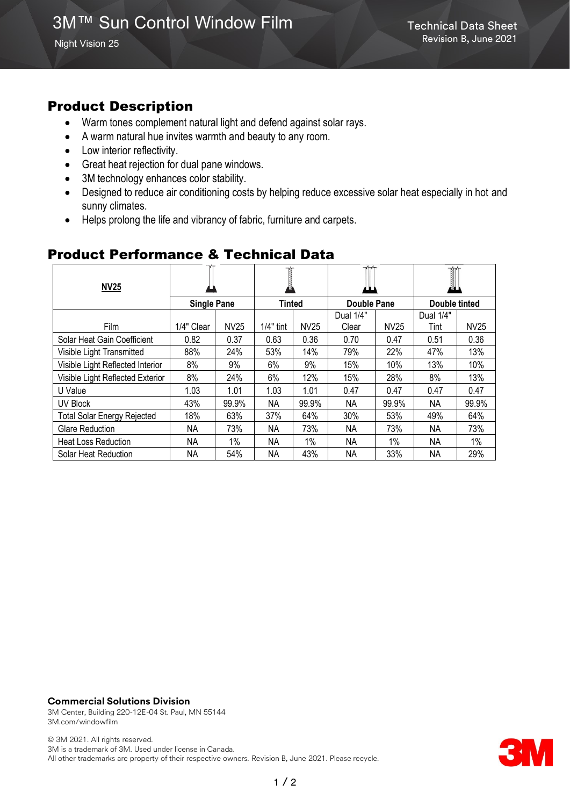## Product Description

- Warm tones complement natural light and defend against solar rays.
- A warm natural hue invites warmth and beauty to any room.
- Low interior reflectivity.
- Great heat rejection for dual pane windows.
- 3M technology enhances color stability.
- Designed to reduce air conditioning costs by helping reduce excessive solar heat especially in hot and sunny climates.
- Helps prolong the life and vibrancy of fabric, furniture and carpets.

| <b>NV25</b>                        |                    |             | 偽             |             |                    |             |               |       |
|------------------------------------|--------------------|-------------|---------------|-------------|--------------------|-------------|---------------|-------|
|                                    | <b>Single Pane</b> |             | <b>Tinted</b> |             | <b>Double Pane</b> |             | Double tinted |       |
|                                    |                    |             |               |             | Dual 1/4"          |             | Dual 1/4"     |       |
| Film                               | 1/4" Clear         | <b>NV25</b> | $1/4"$ tint   | <b>NV25</b> | Clear              | <b>NV25</b> | Tint          | NV25  |
| Solar Heat Gain Coefficient        | 0.82               | 0.37        | 0.63          | 0.36        | 0.70               | 0.47        | 0.51          | 0.36  |
| Visible Light Transmitted          | 88%                | 24%         | 53%           | 14%         | 79%                | 22%         | 47%           | 13%   |
| Visible Light Reflected Interior   | 8%                 | 9%          | 6%            | 9%          | 15%                | 10%         | 13%           | 10%   |
| Visible Light Reflected Exterior   | 8%                 | 24%         | 6%            | 12%         | 15%                | 28%         | 8%            | 13%   |
| U Value                            | 1.03               | 1.01        | 1.03          | 1.01        | 0.47               | 0.47        | 0.47          | 0.47  |
| UV Block                           | 43%                | 99.9%       | ΝA            | 99.9%       | ΝA                 | 99.9%       | ΝA            | 99.9% |
| <b>Total Solar Energy Rejected</b> | 18%                | 63%         | 37%           | 64%         | 30%                | 53%         | 49%           | 64%   |
| <b>Glare Reduction</b>             | NΑ                 | 73%         | NΑ            | 73%         | ΝA                 | 73%         | ΝA            | 73%   |
| <b>Heat Loss Reduction</b>         | ΝA                 | 1%          | ΝA            | 1%          | ΝA                 | 1%          | ΝA            | $1\%$ |
| Solar Heat Reduction               | NΑ                 | 54%         | NΑ            | 43%         | NΑ                 | 33%         | ΝA            | 29%   |

#### Product Performance & Technical Data

#### **Commercial Solutions Division**

3M Center, Building 220-12E-04 St. Paul, MN 55144 3M.com/windowfilm

© 3M 2021. All rights reserved. 3M is a trademark of 3M. Used under license in Canada. All other trademarks are property of their respective owners. Revision B, June 2021. Please recycle.